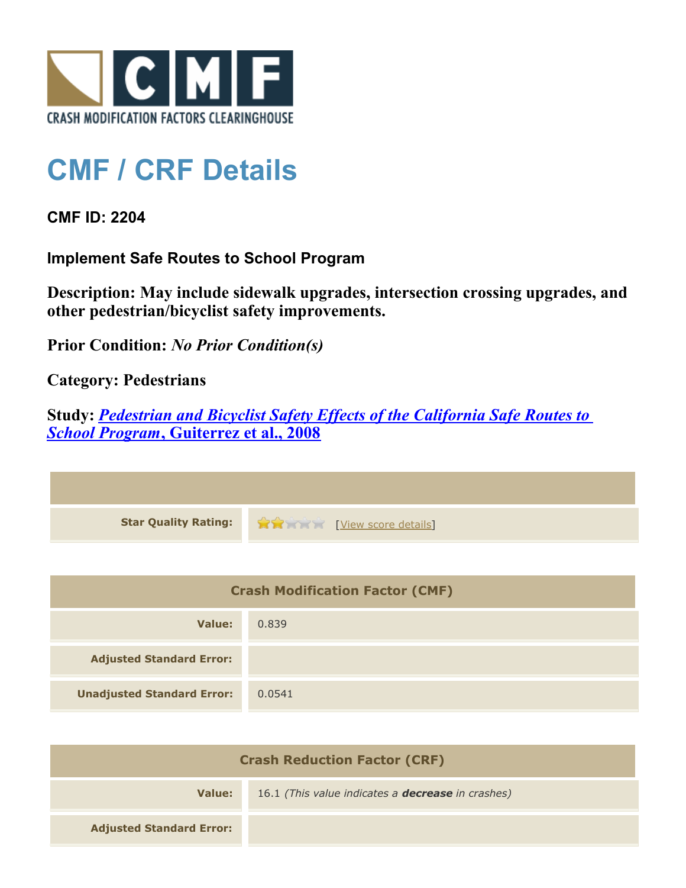

## **CMF / CRF Details**

**CMF ID: 2204**

**Implement Safe Routes to School Program**

**Description: May include sidewalk upgrades, intersection crossing upgrades, and other pedestrian/bicyclist safety improvements.**

**Prior Condition:** *No Prior Condition(s)*

**Category: Pedestrians**

**Study:** *[Pedestrian and Bicyclist Safety Effects of the California Safe Routes to](http://www.cmfclearinghouse.org/study_detail.cfm?stid=128) [School Program](http://www.cmfclearinghouse.org/study_detail.cfm?stid=128)***[, Guiterrez et al., 2008](http://www.cmfclearinghouse.org/study_detail.cfm?stid=128)**

| Star Quality Rating: 19 20 [View score details] |
|-------------------------------------------------|

| <b>Crash Modification Factor (CMF)</b> |        |
|----------------------------------------|--------|
| Value:                                 | 0.839  |
| <b>Adjusted Standard Error:</b>        |        |
| <b>Unadjusted Standard Error:</b>      | 0.0541 |

| <b>Crash Reduction Factor (CRF)</b> |                                                          |
|-------------------------------------|----------------------------------------------------------|
| Value:                              | 16.1 (This value indicates a <b>decrease</b> in crashes) |
| <b>Adjusted Standard Error:</b>     |                                                          |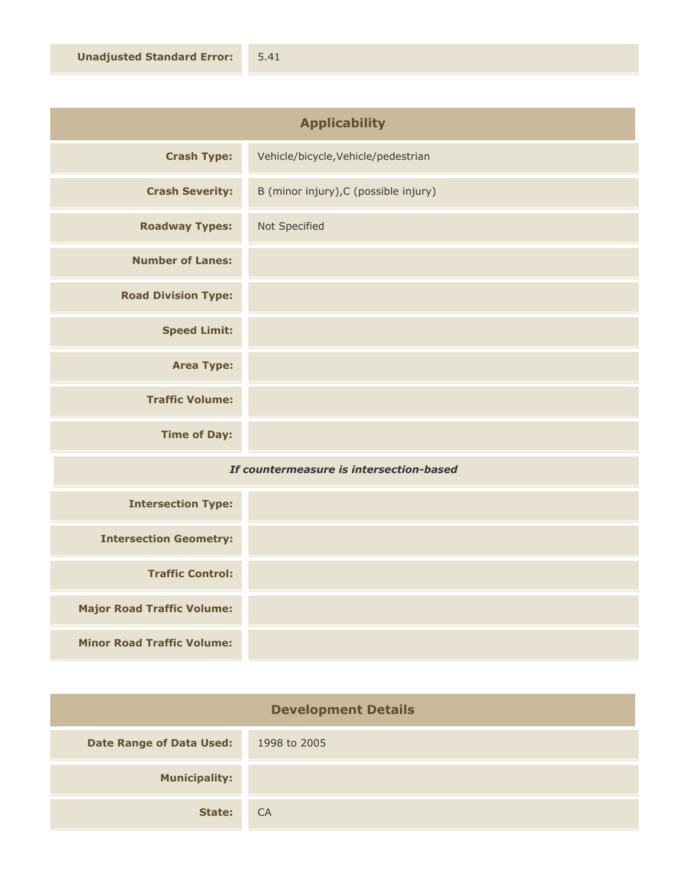| <b>Applicability</b>       |                                       |
|----------------------------|---------------------------------------|
| <b>Crash Type:</b>         | Vehicle/bicycle, Vehicle/pedestrian   |
| <b>Crash Severity:</b>     | B (minor injury), C (possible injury) |
| <b>Roadway Types:</b>      | Not Specified                         |
| <b>Number of Lanes:</b>    |                                       |
| <b>Road Division Type:</b> |                                       |
| <b>Speed Limit:</b>        |                                       |
| <b>Area Type:</b>          |                                       |
|                            |                                       |

**Time of Day:**

**Traffic Volume:**

## *If countermeasure is intersection-based*

| <b>Intersection Type:</b>         |  |
|-----------------------------------|--|
| <b>Intersection Geometry:</b>     |  |
| <b>Traffic Control:</b>           |  |
| <b>Major Road Traffic Volume:</b> |  |
| <b>Minor Road Traffic Volume:</b> |  |

| <b>Development Details</b>      |              |
|---------------------------------|--------------|
| <b>Date Range of Data Used:</b> | 1998 to 2005 |
| <b>Municipality:</b>            |              |
| State:                          | <b>CA</b>    |